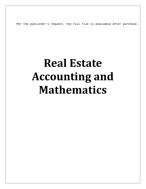Per the publisher's request, the full file is available after purchase.

## **Real Estate Accounting and Mathematics**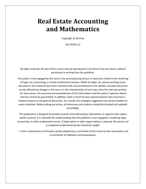## **Real Estate Accounting and Mathematics**

Copyright 2014 *by*

DELTACPE LLC

All rights reserved. No part of this course may be reproduced in any form or by any means, without permission in writing from the publisher.

The author is not engaged by this text or any accompanying lecture or electronic media in the rendering of legal, tax, accounting, or similar professional services. While the legal, tax, and accounting issues discussed in this material have been reviewed with sources believed to be reliable, concepts discussed can be affected by changes in the law or in the interpretation of such laws since this text was printed. For that reason, the accuracy and completeness of this information and the author's opinions based thereon cannot be guaranteed. In addition, state or local tax laws and procedural rules may have a material impact on the general discussion. As a result, the strategies suggested may not be suitable for every individual. Before taking any action, all references and citations should be checked and updated accordingly.

*This publication is designed to provide accurate and authoritative information in regard to the subject matter covered. It is sold with the understanding that the publisher is not engaged in rendering legal, accounting, or other professional service. If legal advice or other expert advice is required, the services of a competent professional person should be sought.*

—-From a Declaration of Principles jointly adopted by a committee of the American Bar Association and a Committee of Publishers and Associations.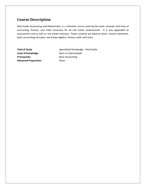## **Course Description**

Real Estate Accounting and Mathematics is a refresher course covering the basic concepts and tools of accounting, finance, and math necessary for all real estate professionals. It is also applicable to accountants and as well as real estate investors. Topics covered are balance sheet, income statement, basic accounting concepts, real estate algebra, finance math, and more.

**Prerequisite** Basic Accounting **Advanced Preparation** None

**Field of Study** Specialized Knowledge - Real Estate **Level of Knowledge** Basic to Intermediate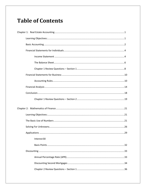## **Table of Contents**

| Interest30 |
|------------|
|            |
|            |
|            |
|            |